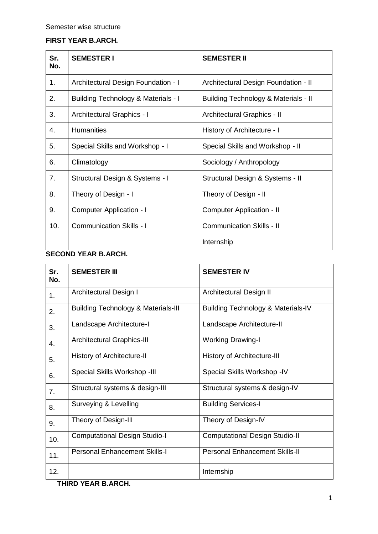## **FIRST YEAR B.ARCH.**

| Sr.<br>No. | <b>SEMESTER I</b>                   | <b>SEMESTER II</b>                   |
|------------|-------------------------------------|--------------------------------------|
| 1.         | Architectural Design Foundation - I | Architectural Design Foundation - II |
| 2.         | Building Technology & Materials - I | Building Technology & Materials - II |
| 3.         | Architectural Graphics - I          | Architectural Graphics - II          |
| 4.         | <b>Humanities</b>                   | History of Architecture - I          |
| 5.         | Special Skills and Workshop - I     | Special Skills and Workshop - II     |
| 6.         | Climatology                         | Sociology / Anthropology             |
| 7.         | Structural Design & Systems - I     | Structural Design & Systems - II     |
| 8.         | Theory of Design - I                | Theory of Design - II                |
| 9.         | <b>Computer Application - I</b>     | Computer Application - II            |
| 10.        | <b>Communication Skills - I</b>     | <b>Communication Skills - II</b>     |
|            |                                     | Internship                           |

## **SECOND YEAR B.ARCH.**

| Sr.<br>No. | <b>SEMESTER III</b>                            | <b>SEMESTER IV</b>                            |
|------------|------------------------------------------------|-----------------------------------------------|
| 1.         | Architectural Design I                         | Architectural Design II                       |
| 2.         | <b>Building Technology &amp; Materials-III</b> | <b>Building Technology &amp; Materials-IV</b> |
| 3.         | Landscape Architecture-I                       | Landscape Architecture-II                     |
| 4.         | <b>Architectural Graphics-III</b>              | <b>Working Drawing-I</b>                      |
| 5.         | History of Architecture-II                     | <b>History of Architecture-III</b>            |
| 6.         | Special Skills Workshop -III                   | Special Skills Workshop -IV                   |
| 7.         | Structural systems & design-III                | Structural systems & design-IV                |
| 8.         | Surveying & Levelling                          | <b>Building Services-I</b>                    |
| 9.         | Theory of Design-III                           | Theory of Design-IV                           |
| 10.        | <b>Computational Design Studio-I</b>           | <b>Computational Design Studio-II</b>         |
| 11.        | <b>Personal Enhancement Skills-I</b>           | <b>Personal Enhancement Skills-II</b>         |
| 12.        |                                                | Internship                                    |

**THIRD YEAR B.ARCH.**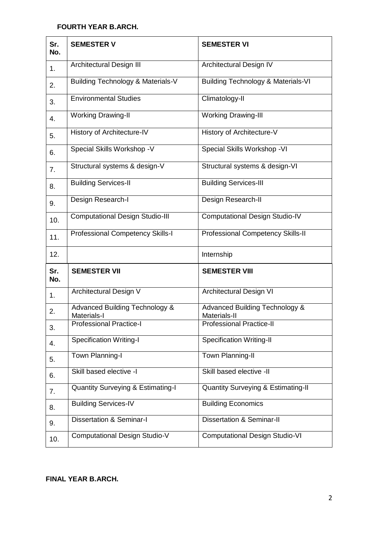## **FOURTH YEAR B.ARCH.**

| Sr.<br>No.     | <b>SEMESTER V</b>                                        | <b>SEMESTER VI</b>                                        |
|----------------|----------------------------------------------------------|-----------------------------------------------------------|
| 1 <sub>1</sub> | <b>Architectural Design III</b>                          | Architectural Design IV                                   |
| 2.             | Building Technology & Materials-V                        | <b>Building Technology &amp; Materials-VI</b>             |
| 3.             | <b>Environmental Studies</b>                             | Climatology-II                                            |
| 4.             | <b>Working Drawing-II</b>                                | <b>Working Drawing-III</b>                                |
| 5.             | History of Architecture-IV                               | History of Architecture-V                                 |
| 6.             | Special Skills Workshop -V                               | Special Skills Workshop - VI                              |
| 7.             | Structural systems & design-V                            | Structural systems & design-VI                            |
| 8.             | <b>Building Services-II</b>                              | <b>Building Services-III</b>                              |
| 9.             | Design Research-I                                        | Design Research-II                                        |
| 10.            | <b>Computational Design Studio-III</b>                   | <b>Computational Design Studio-IV</b>                     |
| 11.            | Professional Competency Skills-I                         | Professional Competency Skills-II                         |
| 12.            |                                                          | Internship                                                |
| Sr.<br>No.     | <b>SEMESTER VII</b>                                      | <b>SEMESTER VIII</b>                                      |
| 1.             | Architectural Design V                                   | <b>Architectural Design VI</b>                            |
| 2.             | <b>Advanced Building Technology &amp;</b><br>Materials-I | <b>Advanced Building Technology &amp;</b><br>Materials-II |
| 3.             | <b>Professional Practice-I</b>                           | <b>Professional Practice-II</b>                           |
| 4.             | <b>Specification Writing-I</b>                           | <b>Specification Writing-II</b>                           |
| 5.             | Town Planning-I                                          | Town Planning-II                                          |
| 6.             | Skill based elective -I                                  | Skill based elective -II                                  |
| 7.             | <b>Quantity Surveying &amp; Estimating-I</b>             | <b>Quantity Surveying &amp; Estimating-II</b>             |
| 8.             | <b>Building Services-IV</b>                              | <b>Building Economics</b>                                 |
| 9.             | <b>Dissertation &amp; Seminar-I</b>                      | <b>Dissertation &amp; Seminar-II</b>                      |
| 10.            | <b>Computational Design Studio-V</b>                     | <b>Computational Design Studio-VI</b>                     |

## **FINAL YEAR B.ARCH.**